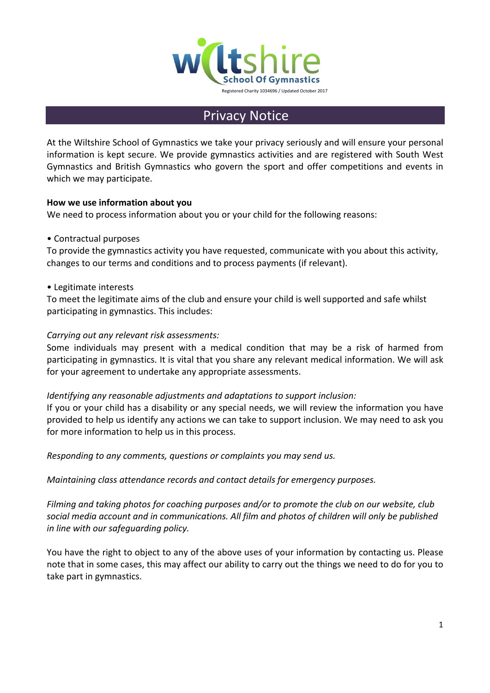

# **Privacy Notice**

At the Wiltshire School of Gymnastics we take your privacy seriously and will ensure your personal information is kept secure. We provide gymnastics activities and are registered with South West Gymnastics and British Gymnastics who govern the sport and offer competitions and events in which we may participate.

# **How we use information about you**

We need to process information about you or your child for the following reasons:

# • Contractual purposes

To provide the gymnastics activity you have requested, communicate with you about this activity, changes to our terms and conditions and to process payments (if relevant).

### • Legitimate interests

To meet the legitimate aims of the club and ensure your child is well supported and safe whilst participating in gymnastics. This includes:

# *Carrying out any relevant risk assessments:*

Some individuals may present with a medical condition that may be a risk of harmed from participating in gymnastics. It is vital that you share any relevant medical information. We will ask for your agreement to undertake any appropriate assessments.

### *Identifying any reasonable adjustments and adaptations to support inclusion:*

If you or your child has a disability or any special needs, we will review the information you have provided to help us identify any actions we can take to support inclusion. We may need to ask you for more information to help us in this process.

*Responding to any comments, questions or complaints you may send us.*

*Maintaining class attendance records and contact details for emergency purposes.*

*Filming and taking photos for coaching purposes and/or to promote the club on our website, club social media account and in communications. All film and photos of children will only be published in line with our safeguarding policy.*

You have the right to object to any of the above uses of your information by contacting us. Please note that in some cases, this may affect our ability to carry out the things we need to do for you to take part in gymnastics.